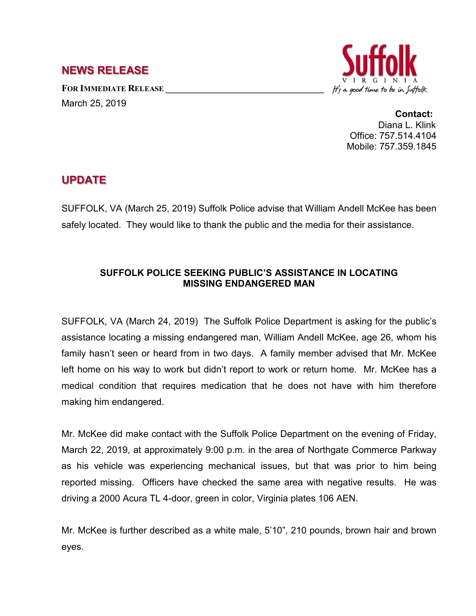## **NEWS RELEASE**

**FOR IMMEDIATE RELEASE \_\_\_\_\_\_\_\_\_\_\_\_\_\_\_\_\_\_\_\_\_\_\_\_\_\_\_\_\_\_\_\_\_\_** March 25, 2019



**Contact:** Diana L. Klink Office: 757.514.4104 Mobile: 757.359.1845

## **UPDATE**

SUFFOLK, VA (March 25, 2019) Suffolk Police advise that William Andell McKee has been safely located. They would like to thank the public and the media for their assistance.

## **SUFFOLK POLICE SEEKING PUBLIC'S ASSISTANCE IN LOCATING MISSING ENDANGERED MAN**

SUFFOLK, VA (March 24, 2019) The Suffolk Police Department is asking for the public's assistance locating a missing endangered man, William Andell McKee, age 26, whom his family hasn't seen or heard from in two days. A family member advised that Mr. McKee left home on his way to work but didn't report to work or return home. Mr. McKee has a medical condition that requires medication that he does not have with him therefore making him endangered.

Mr. McKee did make contact with the Suffolk Police Department on the evening of Friday, March 22, 2019, at approximately 9:00 p.m. in the area of Northgate Commerce Parkway as his vehicle was experiencing mechanical issues, but that was prior to him being reported missing. Officers have checked the same area with negative results. He was driving a 2000 Acura TL 4-door, green in color, Virginia plates 106 AEN.

Mr. McKee is further described as a white male, 5'10", 210 pounds, brown hair and brown eyes.